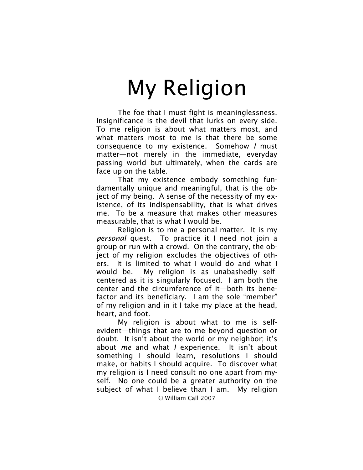The foe that I must fight is meaninglessness. Insignificance is the devil that lurks on every side. To me religion is about what matters most, and what matters most to me is that there be some consequence to my existence. Somehow *I* must matter—not merely in the immediate, everyday passing world but ultimately, when the cards are face up on the table.

That my existence embody something fundamentally unique and meaningful, that is the object of my being. A sense of the necessity of my existence, of its indispensability, that is what drives me. To be a measure that makes other measures measurable, that is what I would be.

Religion is to me a personal matter. It is my *personal* quest. To practice it I need not join a group or run with a crowd. On the contrary, the object of my religion excludes the objectives of others. It is limited to what I would do and what I would be. My religion is as unabashedly selfcentered as it is singularly focused. I am both the center and the circumference of it—both its benefactor and its beneficiary. I am the sole "member" of my religion and in it I take my place at the head, heart, and foot.

© William Call 2007 My religion is about what to me is selfevident—things that are to me beyond question or doubt. It isn't about the world or my neighbor; it's about *me* and what *I* experience. It isn't about something I should learn, resolutions I should make, or habits I should acquire. To discover what my religion is I need consult no one apart from myself. No one could be a greater authority on the subject of what I believe than I am. My religion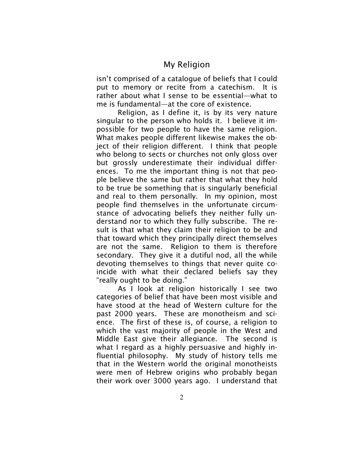isn't comprised of a catalogue of beliefs that I could put to memory or recite from a catechism. It is rather about what I sense to be essential—what to me is fundamental—at the core of existence.

Religion, as I define it, is by its very nature singular to the person who holds it. I believe it impossible for two people to have the same religion. What makes people different likewise makes the object of their religion different. I think that people who belong to sects or churches not only gloss over but grossly underestimate their individual differences. To me the important thing is not that people believe the same but rather that what they hold to be true be something that is singularly beneficial and real to them personally. In my opinion, most people find themselves in the unfortunate circumstance of advocating beliefs they neither fully understand nor to which they fully subscribe. The result is that what they claim their religion to be and that toward which they principally direct themselves are not the same. Religion to them is therefore secondary. They give it a dutiful nod, all the while devoting themselves to things that never quite coincide with what their declared beliefs say they "really ought to be doing."

As I look at religion historically I see two categories of belief that have been most visible and have stood at the head of Western culture for the past 2000 years. These are monotheism and science. The first of these is, of course, a religion to which the vast majority of people in the West and Middle East give their allegiance. The second is what I regard as a highly persuasive and highly influential philosophy. My study of history tells me that in the Western world the original monotheists were men of Hebrew origins who probably began their work over 3000 years ago. I understand that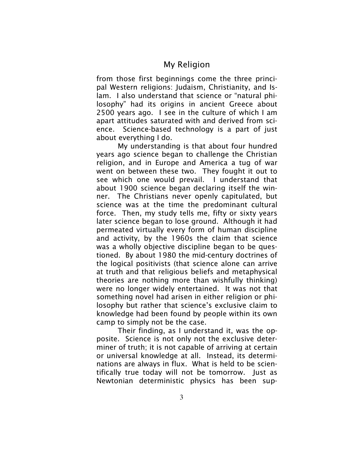from those first beginnings come the three principal Western religions: Judaism, Christianity, and Islam. I also understand that science or "natural philosophy" had its origins in ancient Greece about 2500 years ago. I see in the culture of which I am apart attitudes saturated with and derived from science. Science-based technology is a part of just about everything I do.

My understanding is that about four hundred years ago science began to challenge the Christian religion, and in Europe and America a tug of war went on between these two. They fought it out to see which one would prevail. I understand that about 1900 science began declaring itself the winner. The Christians never openly capitulated, but science was at the time the predominant cultural force. Then, my study tells me, fifty or sixty years later science began to lose ground. Although it had permeated virtually every form of human discipline and activity, by the 1960s the claim that science was a wholly objective discipline began to be questioned. By about 1980 the mid-century doctrines of the logical positivists (that science alone can arrive at truth and that religious beliefs and metaphysical theories are nothing more than wishfully thinking) were no longer widely entertained. It was not that something novel had arisen in either religion or philosophy but rather that science's exclusive claim to knowledge had been found by people within its own camp to simply not be the case.

Their finding, as I understand it, was the opposite. Science is not only not the exclusive determiner of truth; it is not capable of arriving at certain or universal knowledge at all. Instead, its determinations are always in flux. What is held to be scientifically true today will not be tomorrow. Just as Newtonian deterministic physics has been sup-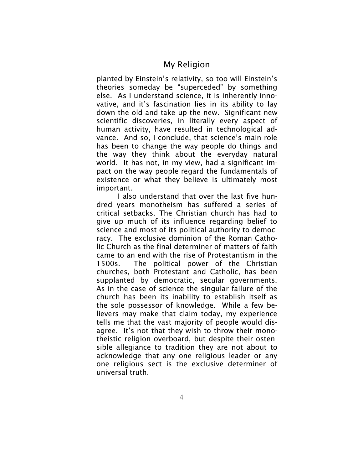planted by Einstein's relativity, so too will Einstein's theories someday be "superceded" by something else. As I understand science, it is inherently innovative, and it's fascination lies in its ability to lay down the old and take up the new. Significant new scientific discoveries, in literally every aspect of human activity, have resulted in technological advance. And so, I conclude, that science's main role has been to change the way people do things and the way they think about the everyday natural world. It has not, in my view, had a significant impact on the way people regard the fundamentals of existence or what they believe is ultimately most important.

I also understand that over the last five hundred years monotheism has suffered a series of critical setbacks. The Christian church has had to give up much of its influence regarding belief to science and most of its political authority to democracy. The exclusive dominion of the Roman Catholic Church as the final determiner of matters of faith came to an end with the rise of Protestantism in the 1500s. The political power of the Christian churches, both Protestant and Catholic, has been supplanted by democratic, secular governments. As in the case of science the singular failure of the church has been its inability to establish itself as the sole possessor of knowledge. While a few believers may make that claim today, my experience tells me that the vast majority of people would disagree. It's not that they wish to throw their monotheistic religion overboard, but despite their ostensible allegiance to tradition they are not about to acknowledge that any one religious leader or any one religious sect is the exclusive determiner of universal truth.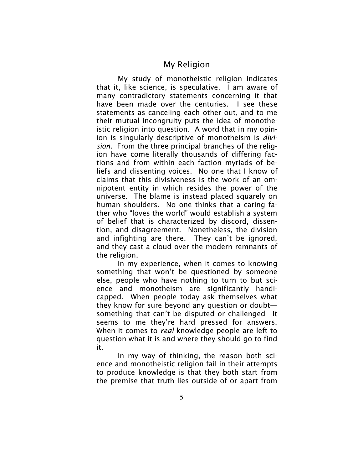My study of monotheistic religion indicates that it, like science, is speculative. I am aware of many contradictory statements concerning it that have been made over the centuries. I see these statements as canceling each other out, and to me their mutual incongruity puts the idea of monotheistic religion into question. A word that in my opinion is singularly descriptive of monotheism is *division*. From the three principal branches of the religion have come literally thousands of differing factions and from within each faction myriads of beliefs and dissenting voices. No one that I know of claims that this divisiveness is the work of an omnipotent entity in which resides the power of the universe. The blame is instead placed squarely on human shoulders. No one thinks that a caring father who "loves the world" would establish a system of belief that is characterized by discord, dissention, and disagreement. Nonetheless, the division and infighting are there. They can't be ignored, and they cast a cloud over the modern remnants of the religion.

In my experience, when it comes to knowing something that won't be questioned by someone else, people who have nothing to turn to but science and monotheism are significantly handicapped. When people today ask themselves what they know for sure beyond any question or doubt something that can't be disputed or challenged—it seems to me they're hard pressed for answers. When it comes to *real* knowledge people are left to question what it is and where they should go to find it.

In my way of thinking, the reason both science and monotheistic religion fail in their attempts to produce knowledge is that they both start from the premise that truth lies outside of or apart from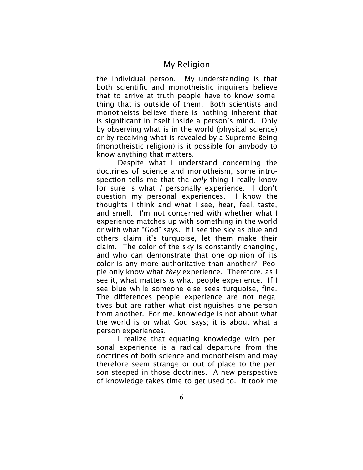the individual person. My understanding is that both scientific and monotheistic inquirers believe that to arrive at truth people have to know something that is outside of them. Both scientists and monotheists believe there is nothing inherent that is significant in itself inside a person's mind. Only by observing what is in the world (physical science) or by receiving what is revealed by a Supreme Being (monotheistic religion) is it possible for anybody to know anything that matters.

Despite what I understand concerning the doctrines of science and monotheism, some introspection tells me that the *only* thing I really know for sure is what *I* personally experience. I don't question my personal experiences. I know the thoughts I think and what I see, hear, feel, taste, and smell. I'm not concerned with whether what I experience matches up with something in the world or with what "God" says. If I see the sky as blue and others claim it's turquoise, let them make their claim. The color of the sky is constantly changing, and who can demonstrate that one opinion of its color is any more authoritative than another? People only know what *they* experience. Therefore, as I see it, what matters *is* what people experience. If I see blue while someone else sees turquoise, fine. The differences people experience are not negatives but are rather what distinguishes one person from another. For me, knowledge is not about what the world is or what God says; it is about what a person experiences.

I realize that equating knowledge with personal experience is a radical departure from the doctrines of both science and monotheism and may therefore seem strange or out of place to the person steeped in those doctrines. A new perspective of knowledge takes time to get used to. It took me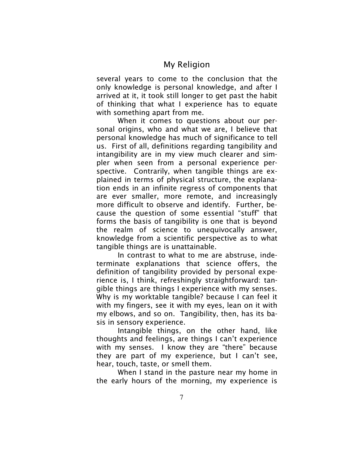several years to come to the conclusion that the only knowledge is personal knowledge, and after I arrived at it, it took still longer to get past the habit of thinking that what I experience has to equate with something apart from me.

When it comes to questions about our personal origins, who and what we are, I believe that personal knowledge has much of significance to tell us. First of all, definitions regarding tangibility and intangibility are in my view much clearer and simpler when seen from a personal experience perspective. Contrarily, when tangible things are explained in terms of physical structure, the explanation ends in an infinite regress of components that are ever smaller, more remote, and increasingly more difficult to observe and identify. Further, because the question of some essential "stuff" that forms the basis of tangibility is one that is beyond the realm of science to unequivocally answer, knowledge from a scientific perspective as to what tangible things are is unattainable.

In contrast to what to me are abstruse, indeterminate explanations that science offers, the definition of tangibility provided by personal experience is, I think, refreshingly straightforward: tangible things are things I experience with my senses. Why is my worktable tangible? because I can feel it with my fingers, see it with my eyes, lean on it with my elbows, and so on. Tangibility, then, has its basis in sensory experience.

Intangible things, on the other hand, like thoughts and feelings, are things I can't experience with my senses. I know they are "there" because they are part of my experience, but I can't see, hear, touch, taste, or smell them.

When I stand in the pasture near my home in the early hours of the morning, my experience is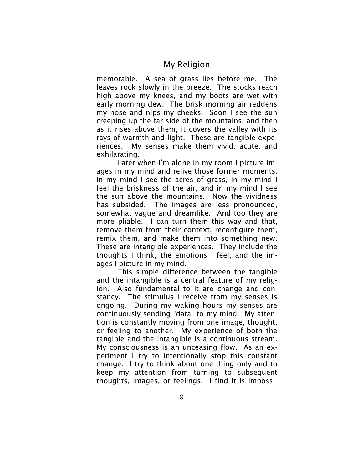memorable. A sea of grass lies before me. The leaves rock slowly in the breeze. The stocks reach high above my knees, and my boots are wet with early morning dew. The brisk morning air reddens my nose and nips my cheeks. Soon I see the sun creeping up the far side of the mountains, and then as it rises above them, it covers the valley with its rays of warmth and light. These are tangible experiences. My senses make them vivid, acute, and exhilarating.

Later when I'm alone in my room I picture images in my mind and relive those former moments. In my mind I see the acres of grass, in my mind I feel the briskness of the air, and in my mind I see the sun above the mountains. Now the vividness has subsided. The images are less pronounced, somewhat vague and dreamlike. And too they are more pliable. I can turn them this way and that, remove them from their context, reconfigure them, remix them, and make them into something new. These are intangible experiences. They include the thoughts I think, the emotions I feel, and the images I picture in my mind.

This simple difference between the tangible and the intangible is a central feature of my religion. Also fundamental to it are change and constancy. The stimulus I receive from my senses is ongoing. During my waking hours my senses are continuously sending "data" to my mind. My attention is constantly moving from one image, thought, or feeling to another. My experience of both the tangible and the intangible is a continuous stream. My consciousness is an unceasing flow. As an experiment I try to intentionally stop this constant change. I try to think about one thing only and to keep my attention from turning to subsequent thoughts, images, or feelings. I find it is impossi-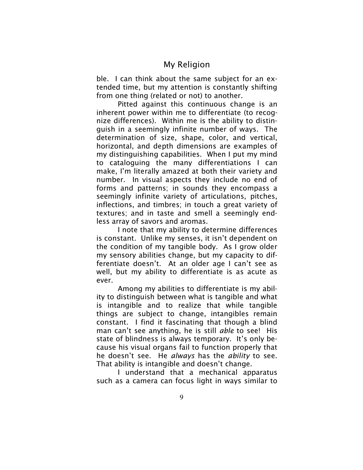ble. I can think about the same subject for an extended time, but my attention is constantly shifting from one thing (related or not) to another.

Pitted against this continuous change is an inherent power within me to differentiate (to recognize differences). Within me is the ability to distinguish in a seemingly infinite number of ways. The determination of size, shape, color, and vertical, horizontal, and depth dimensions are examples of my distinguishing capabilities. When I put my mind to cataloguing the many differentiations I can make, I'm literally amazed at both their variety and number. In visual aspects they include no end of forms and patterns; in sounds they encompass a seemingly infinite variety of articulations, pitches, inflections, and timbres; in touch a great variety of textures; and in taste and smell a seemingly endless array of savors and aromas.

I note that my ability to determine differences is constant. Unlike my senses, it isn't dependent on the condition of my tangible body. As I grow older my sensory abilities change, but my capacity to differentiate doesn't. At an older age I can't see as well, but my ability to differentiate is as acute as ever.

Among my abilities to differentiate is my ability to distinguish between what is tangible and what is intangible and to realize that while tangible things are subject to change, intangibles remain constant. I find it fascinating that though a blind man can't see anything, he is still *able* to see! His state of blindness is always temporary. It's only because his visual organs fail to function properly that he doesn't see. He *always* has the *ability* to see. That ability is intangible and doesn't change.

I understand that a mechanical apparatus such as a camera can focus light in ways similar to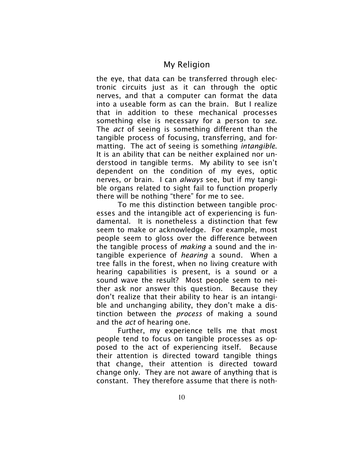the eye, that data can be transferred through electronic circuits just as it can through the optic nerves, and that a computer can format the data into a useable form as can the brain. But I realize that in addition to these mechanical processes something else is necessary for a person to *see*. The *act* of seeing is something different than the tangible process of focusing, transferring, and formatting. The act of seeing is something *intangible*. It is an ability that can be neither explained nor understood in tangible terms. My ability to see isn't dependent on the condition of my eyes, optic nerves, or brain. I can *always* see, but if my tangible organs related to sight fail to function properly there will be nothing "there" for me to see.

To me this distinction between tangible processes and the intangible act of experiencing is fundamental. It is nonetheless a distinction that few seem to make or acknowledge. For example, most people seem to gloss over the difference between the tangible process of *making* a sound and the intangible experience of *hearing* a sound. When a tree falls in the forest, when no living creature with hearing capabilities is present, is a sound or a sound wave the result? Most people seem to neither ask nor answer this question. Because they don't realize that their ability to hear is an intangible and unchanging ability, they don't make a distinction between the *process* of making a sound and the *act* of hearing one.

Further, my experience tells me that most people tend to focus on tangible processes as opposed to the act of experiencing itself. Because their attention is directed toward tangible things that change, their attention is directed toward change only. They are not aware of anything that is constant. They therefore assume that there is noth-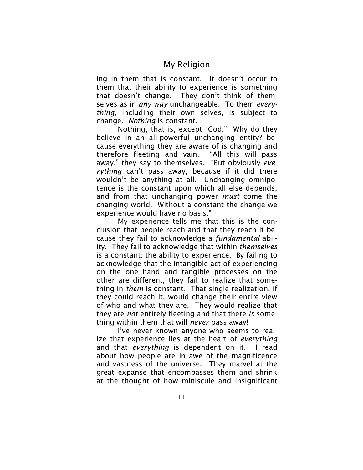ing in them that is constant. It doesn't occur to them that their ability to experience is something that doesn't change. They don't think of themselves as in *any way* unchangeable. To them *everything,* including their own selves, is subject to change. *Nothing* is constant.

Nothing, that is, except "God." Why do they believe in an all-powerful unchanging entity? because everything they are aware of is changing and therefore fleeting and vain. "All this will pass away," they say to themselves. "But obviously *everything* can't pass away, because if it did there wouldn't be anything at all. Unchanging omnipotence is the constant upon which all else depends, and from that unchanging power *must* come the changing world. Without a constant the change we experience would have no basis."

My experience tells me that this is the conclusion that people reach and that they reach it because they fail to acknowledge a *fundamental* ability. They fail to acknowledge that within *themselves* is a constant: the ability to experience. By failing to acknowledge that the intangible act of experiencing on the one hand and tangible processes on the other are different, they fail to realize that something in *them* is constant*.* That single realization, if they could reach it, would change their entire view of who and what they are. They would realize that they are *not* entirely fleeting and that there *is* something within them that will *never* pass away!

I've never known anyone who seems to realize that experience lies at the heart of *everything* and that *everything* is dependent on it. I read about how people are in awe of the magnificence and vastness of the universe. They marvel at the great expanse that encompasses them and shrink at the thought of how miniscule and insignificant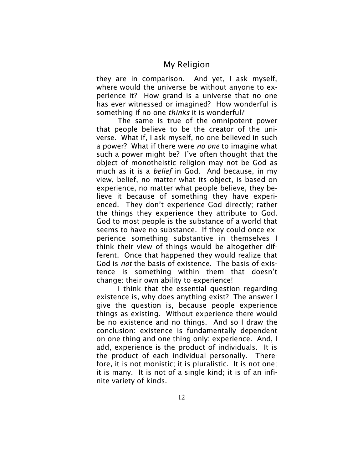they are in comparison. And yet, I ask myself, where would the universe be without anyone to experience it? How grand is a universe that no one has ever witnessed or imagined? How wonderful is something if no one *thinks* it is wonderful?

The same is true of the omnipotent power that people believe to be the creator of the universe. What if, I ask myself, no one believed in such a power? What if there were *no one* to imagine what such a power might be? I've often thought that the object of monotheistic religion may not be God as much as it is a *belief* in God. And because, in my view, belief, no matter what its object, is based on experience, no matter what people believe, they believe it because of something they have experienced. They don't experience God directly; rather the things they experience they attribute to God. God to most people is the substance of a world that seems to have no substance. If they could once experience something substantive in themselves I think their view of things would be altogether different. Once that happened they would realize that God is *not* the basis of existence. The basis of existence is something within them that doesn't change: their own ability to experience!

I think that the essential question regarding existence is, why does anything exist? The answer I give the question is, because people experience things as existing. Without experience there would be no existence and no things. And so I draw the conclusion: existence is fundamentally dependent on one thing and one thing only: experience. And, I add, experience is the product of individuals. It is the product of each individual personally. Therefore, it is not monistic; it is pluralistic. It is not one; it is many. It is not of a single kind; it is of an infinite variety of kinds.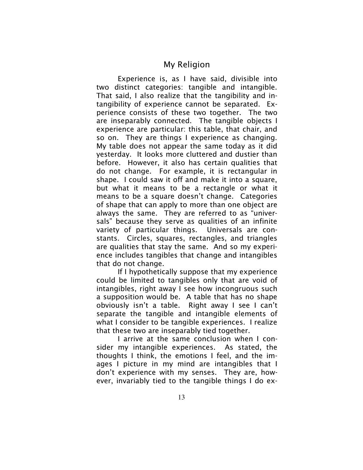Experience is, as I have said, divisible into two distinct categories: tangible and intangible. That said, I also realize that the tangibility and intangibility of experience cannot be separated. Experience consists of these two together. The two are inseparably connected. The tangible objects I experience are particular: this table, that chair, and so on. They are things I experience as changing. My table does not appear the same today as it did yesterday. It looks more cluttered and dustier than before. However, it also has certain qualities that do not change. For example, it is rectangular in shape. I could saw it off and make it into a square, but what it means to be a rectangle or what it means to be a square doesn't change. Categories of shape that can apply to more than one object are always the same. They are referred to as "universals" because they serve as qualities of an infinite variety of particular things. Universals are constants. Circles, squares, rectangles, and triangles are qualities that stay the same. And so my experience includes tangibles that change and intangibles that do not change.

If I hypothetically suppose that my experience could be limited to tangibles only that are void of intangibles, right away I see how incongruous such a supposition would be. A table that has no shape obviously isn't a table. Right away I see I can't separate the tangible and intangible elements of what I consider to be tangible experiences. I realize that these two are inseparably tied together.

I arrive at the same conclusion when I consider my intangible experiences. As stated, the thoughts I think, the emotions I feel, and the images I picture in my mind are intangibles that I don't experience with my senses. They are, however, invariably tied to the tangible things I do ex-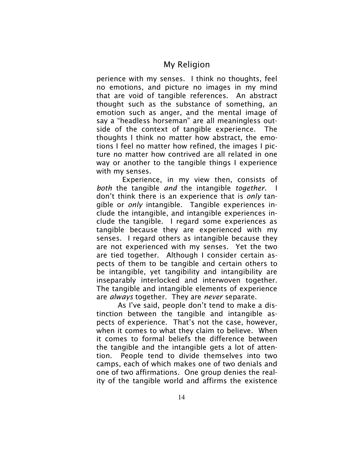perience with my senses. I think no thoughts, feel no emotions, and picture no images in my mind that are void of tangible references. An abstract thought such as the substance of something, an emotion such as anger, and the mental image of say a "headless horseman" are all meaningless outside of the context of tangible experience. The thoughts I think no matter how abstract, the emotions I feel no matter how refined, the images I picture no matter how contrived are all related in one way or another to the tangible things I experience with my senses.

Experience, in my view then, consists of *both* the tangible *and* the intangible *together*. don't think there is an experience that is *only* tangible or *only* intangible. Tangible experiences include the intangible, and intangible experiences include the tangible. I regard some experiences as tangible because they are experienced with my senses. I regard others as intangible because they are not experienced with my senses. Yet the two are tied together. Although I consider certain aspects of them to be tangible and certain others to be intangible, yet tangibility and intangibility are inseparably interlocked and interwoven together. The tangible and intangible elements of experience are *always* together. They are *never* separate.

As I've said, people don't tend to make a distinction between the tangible and intangible aspects of experience. That's not the case, however, when it comes to what they claim to believe. When it comes to formal beliefs the difference between the tangible and the intangible gets a lot of attention. People tend to divide themselves into two camps, each of which makes one of two denials and one of two affirmations. One group denies the reality of the tangible world and affirms the existence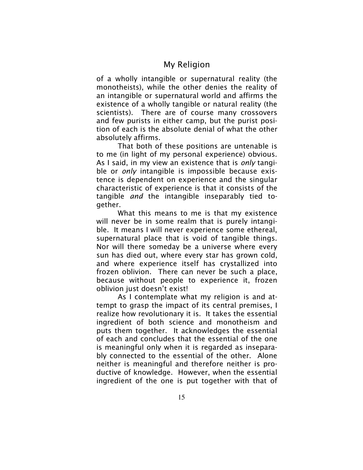of a wholly intangible or supernatural reality (the monotheists), while the other denies the reality of an intangible or supernatural world and affirms the existence of a wholly tangible or natural reality (the scientists). There are of course many crossovers and few purists in either camp, but the purist position of each is the absolute denial of what the other absolutely affirms.

That both of these positions are untenable is to me (in light of my personal experience) obvious. As I said, in my view an existence that is *only* tangible or *only* intangible is impossible because existence is dependent on experience and the singular characteristic of experience is that it consists of the tangible *and* the intangible inseparably tied together.

What this means to me is that my existence will never be in some realm that is purely intangible. It means I will never experience some ethereal, supernatural place that is void of tangible things. Nor will there someday be a universe where every sun has died out, where every star has grown cold, and where experience itself has crystallized into frozen oblivion. There can never be such a place, because without people to experience it, frozen oblivion just doesn't exist!

As I contemplate what my religion is and attempt to grasp the impact of its central premises, I realize how revolutionary it is. It takes the essential ingredient of both science and monotheism and puts them together. It acknowledges the essential of each and concludes that the essential of the one is meaningful only when it is regarded as inseparably connected to the essential of the other. Alone neither is meaningful and therefore neither is productive of knowledge. However, when the essential ingredient of the one is put together with that of